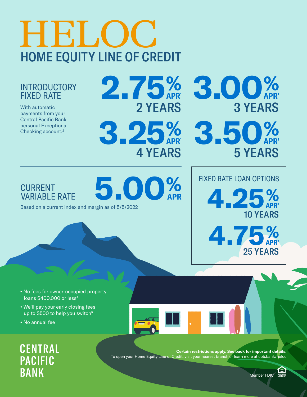# **HELOC** HOME EQUITY LINE OF CREDIT

#### **INTRODUCTORY** FIXED RATE

With automatic payments from your Central Pacific Bank personal Exceptional Checking account.2

2 YEARS **2.75**% APR1 **3.00**% **3.25**% APR1 **3.50**%

4 YEARS

APR

#### **CURRENT VARIABLE RATE**

Based on a current index and margin as of 5/5/2022 **5.00**%



- **•** We'll pay your early closing fees up to \$500 to help you switch<sup>5</sup>
- **•** No annual fee

**CENTRAL PACIFIC BANK** 

**Certain restrictions apply. See back for important details.** To open your Home Equity Line of Credit, visit your nearest branch or learn more at cpb.bank/heloc



FIXED RATE LOAN OPTIONS

**4.25**%

**4.75**%

3 YEARS

5 YEARS

APR1

APR1

APR<sup>3</sup>

10 YEARS

25 YEARS

APR<sup>3</sup>